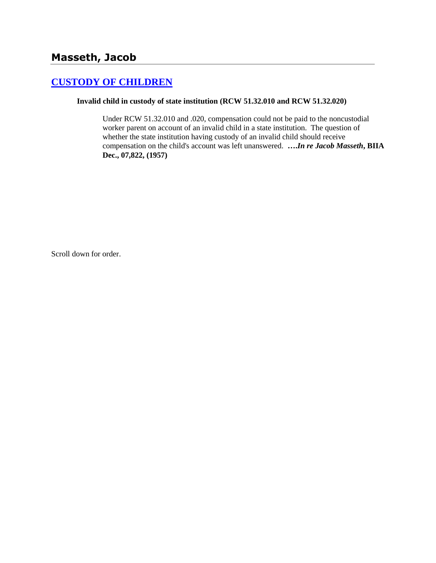# **[CUSTODY OF CHILDREN](http://www.biia.wa.gov/SDSubjectIndex.html#CUSTODY_OF_CHILDREN)**

### **Invalid child in custody of state institution (RCW 51.32.010 and RCW 51.32.020)**

Under RCW 51.32.010 and .020, compensation could not be paid to the noncustodial worker parent on account of an invalid child in a state institution. The question of whether the state institution having custody of an invalid child should receive compensation on the child's account was left unanswered. **….***In re Jacob Masseth***, BIIA Dec., 07,822, (1957)** 

Scroll down for order.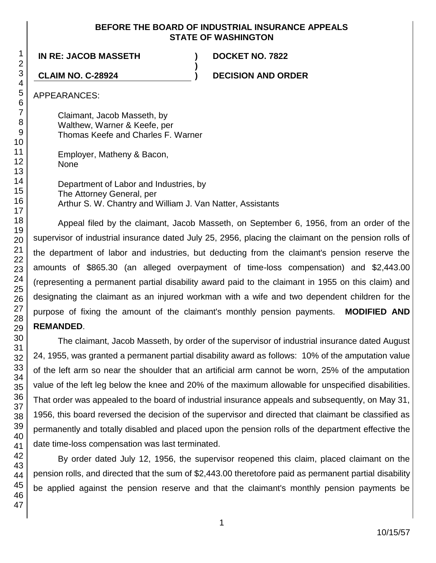### **BEFORE THE BOARD OF INDUSTRIAL INSURANCE APPEALS STATE OF WASHINGTON**

**)**

**IN RE: JACOB MASSETH ) DOCKET NO. 7822**

**CLAIM NO. C-28924 ) DECISION AND ORDER**

APPEARANCES:

Claimant, Jacob Masseth, by Walthew, Warner & Keefe, per Thomas Keefe and Charles F. Warner

Employer, Matheny & Bacon, None

Department of Labor and Industries, by The Attorney General, per Arthur S. W. Chantry and William J. Van Natter, Assistants

Appeal filed by the claimant, Jacob Masseth, on September 6, 1956, from an order of the supervisor of industrial insurance dated July 25, 2956, placing the claimant on the pension rolls of the department of labor and industries, but deducting from the claimant's pension reserve the amounts of \$865.30 (an alleged overpayment of time-loss compensation) and \$2,443.00 (representing a permanent partial disability award paid to the claimant in 1955 on this claim) and designating the claimant as an injured workman with a wife and two dependent children for the purpose of fixing the amount of the claimant's monthly pension payments. **MODIFIED AND REMANDED**.

The claimant, Jacob Masseth, by order of the supervisor of industrial insurance dated August 24, 1955, was granted a permanent partial disability award as follows: 10% of the amputation value of the left arm so near the shoulder that an artificial arm cannot be worn, 25% of the amputation value of the left leg below the knee and 20% of the maximum allowable for unspecified disabilities. That order was appealed to the board of industrial insurance appeals and subsequently, on May 31, 1956, this board reversed the decision of the supervisor and directed that claimant be classified as permanently and totally disabled and placed upon the pension rolls of the department effective the date time-loss compensation was last terminated.

By order dated July 12, 1956, the supervisor reopened this claim, placed claimant on the pension rolls, and directed that the sum of \$2,443.00 theretofore paid as permanent partial disability be applied against the pension reserve and that the claimant's monthly pension payments be

1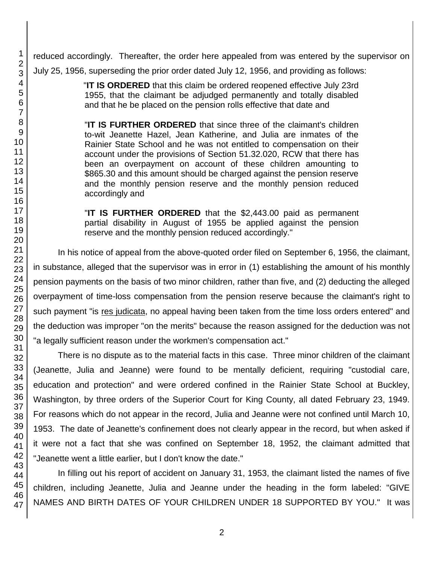reduced accordingly. Thereafter, the order here appealed from was entered by the supervisor on July 25, 1956, superseding the prior order dated July 12, 1956, and providing as follows:

> "**IT IS ORDERED** that this claim be ordered reopened effective July 23rd 1955, that the claimant be adjudged permanently and totally disabled and that he be placed on the pension rolls effective that date and

> "**IT IS FURTHER ORDERED** that since three of the claimant's children to-wit Jeanette Hazel, Jean Katherine, and Julia are inmates of the Rainier State School and he was not entitled to compensation on their account under the provisions of Section 51.32.020, RCW that there has been an overpayment on account of these children amounting to \$865.30 and this amount should be charged against the pension reserve and the monthly pension reserve and the monthly pension reduced accordingly and

> "**IT IS FURTHER ORDERED** that the \$2,443.00 paid as permanent partial disability in August of 1955 be applied against the pension reserve and the monthly pension reduced accordingly."

In his notice of appeal from the above-quoted order filed on September 6, 1956, the claimant, in substance, alleged that the supervisor was in error in (1) establishing the amount of his monthly pension payments on the basis of two minor children, rather than five, and (2) deducting the alleged overpayment of time-loss compensation from the pension reserve because the claimant's right to such payment "is res judicata, no appeal having been taken from the time loss orders entered" and the deduction was improper "on the merits" because the reason assigned for the deduction was not "a legally sufficient reason under the workmen's compensation act."

There is no dispute as to the material facts in this case. Three minor children of the claimant (Jeanette, Julia and Jeanne) were found to be mentally deficient, requiring "custodial care, education and protection" and were ordered confined in the Rainier State School at Buckley, Washington, by three orders of the Superior Court for King County, all dated February 23, 1949. For reasons which do not appear in the record, Julia and Jeanne were not confined until March 10, 1953. The date of Jeanette's confinement does not clearly appear in the record, but when asked if it were not a fact that she was confined on September 18, 1952, the claimant admitted that "Jeanette went a little earlier, but I don't know the date."

In filling out his report of accident on January 31, 1953, the claimant listed the names of five children, including Jeanette, Julia and Jeanne under the heading in the form labeled: "GIVE NAMES AND BIRTH DATES OF YOUR CHILDREN UNDER 18 SUPPORTED BY YOU." It was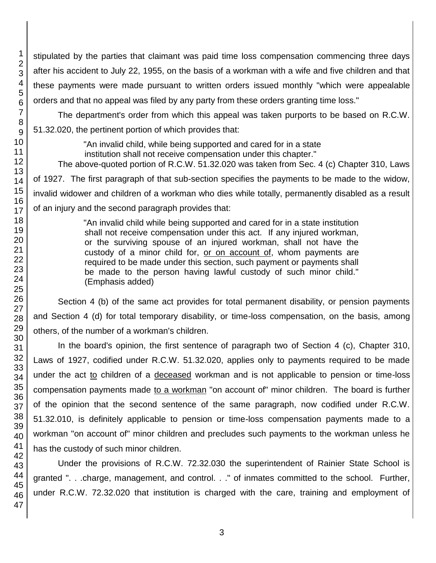stipulated by the parties that claimant was paid time loss compensation commencing three days after his accident to July 22, 1955, on the basis of a workman with a wife and five children and that these payments were made pursuant to written orders issued monthly "which were appealable orders and that no appeal was filed by any party from these orders granting time loss."

The department's order from which this appeal was taken purports to be based on R.C.W. 51.32.020, the pertinent portion of which provides that:

"An invalid child, while being supported and cared for in a state institution shall not receive compensation under this chapter." The above-quoted portion of R.C.W. 51.32.020 was taken from Sec. 4 (c) Chapter 310, Laws of 1927. The first paragraph of that sub-section specifies the payments to be made to the widow,

invalid widower and children of a workman who dies while totally, permanently disabled as a result of an injury and the second paragraph provides that:

> "An invalid child while being supported and cared for in a state institution shall not receive compensation under this act. If any injured workman, or the surviving spouse of an injured workman, shall not have the custody of a minor child for, or on account of, whom payments are required to be made under this section, such payment or payments shall be made to the person having lawful custody of such minor child." (Emphasis added)

Section 4 (b) of the same act provides for total permanent disability, or pension payments and Section 4 (d) for total temporary disability, or time-loss compensation, on the basis, among others, of the number of a workman's children.

In the board's opinion, the first sentence of paragraph two of Section 4 (c), Chapter 310, Laws of 1927, codified under R.C.W. 51.32.020, applies only to payments required to be made under the act to children of a deceased workman and is not applicable to pension or time-loss compensation payments made to a workman "on account of" minor children. The board is further of the opinion that the second sentence of the same paragraph, now codified under R.C.W. 51.32.010, is definitely applicable to pension or time-loss compensation payments made to a workman "on account of" minor children and precludes such payments to the workman unless he has the custody of such minor children.

Under the provisions of R.C.W. 72.32.030 the superintendent of Rainier State School is granted ". . .charge, management, and control. . ." of inmates committed to the school. Further, under R.C.W. 72.32.020 that institution is charged with the care, training and employment of

1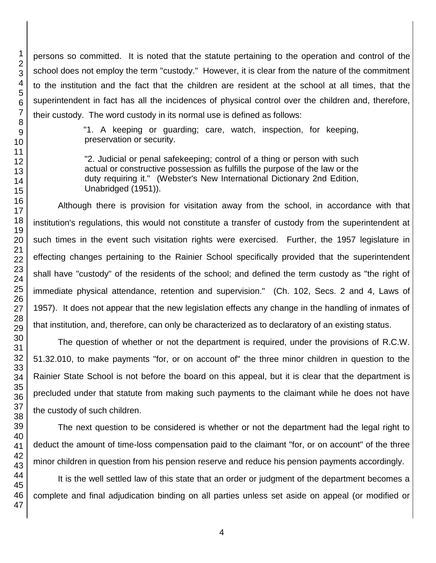persons so committed. It is noted that the statute pertaining to the operation and control of the school does not employ the term "custody." However, it is clear from the nature of the commitment to the institution and the fact that the children are resident at the school at all times, that the superintendent in fact has all the incidences of physical control over the children and, therefore, their custody. The word custody in its normal use is defined as follows:

> "1. A keeping or guarding; care, watch, inspection, for keeping, preservation or security.

> "2. Judicial or penal safekeeping; control of a thing or person with such actual or constructive possession as fulfills the purpose of the law or the duty requiring it." (Webster's New International Dictionary 2nd Edition, Unabridged (1951)).

Although there is provision for visitation away from the school, in accordance with that institution's regulations, this would not constitute a transfer of custody from the superintendent at such times in the event such visitation rights were exercised. Further, the 1957 legislature in effecting changes pertaining to the Rainier School specifically provided that the superintendent shall have "custody" of the residents of the school; and defined the term custody as "the right of immediate physical attendance, retention and supervision." (Ch. 102, Secs. 2 and 4, Laws of 1957). It does not appear that the new legislation effects any change in the handling of inmates of that institution, and, therefore, can only be characterized as to declaratory of an existing status.

The question of whether or not the department is required, under the provisions of R.C.W. 51.32.010, to make payments "for, or on account of" the three minor children in question to the Rainier State School is not before the board on this appeal, but it is clear that the department is precluded under that statute from making such payments to the claimant while he does not have the custody of such children.

The next question to be considered is whether or not the department had the legal right to deduct the amount of time-loss compensation paid to the claimant "for, or on account" of the three minor children in question from his pension reserve and reduce his pension payments accordingly.

It is the well settled law of this state that an order or judgment of the department becomes a complete and final adjudication binding on all parties unless set aside on appeal (or modified or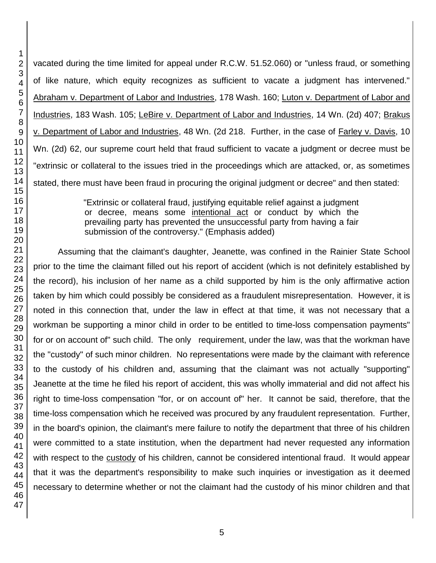vacated during the time limited for appeal under R.C.W. 51.52.060) or "unless fraud, or something of like nature, which equity recognizes as sufficient to vacate a judgment has intervened." Abraham v. Department of Labor and Industries, 178 Wash. 160; Luton v. Department of Labor and Industries, 183 Wash. 105; LeBire v. Department of Labor and Industries, 14 Wn. (2d) 407; Brakus v. Department of Labor and Industries, 48 Wn. (2d 218. Further, in the case of Farley v. Davis, 10 Wn. (2d) 62, our supreme court held that fraud sufficient to vacate a judgment or decree must be "extrinsic or collateral to the issues tried in the proceedings which are attacked, or, as sometimes stated, there must have been fraud in procuring the original judgment or decree" and then stated:

> "Extrinsic or collateral fraud, justifying equitable relief against a judgment or decree, means some intentional act or conduct by which the prevailing party has prevented the unsuccessful party from having a fair submission of the controversy." (Emphasis added)

Assuming that the claimant's daughter, Jeanette, was confined in the Rainier State School prior to the time the claimant filled out his report of accident (which is not definitely established by the record), his inclusion of her name as a child supported by him is the only affirmative action taken by him which could possibly be considered as a fraudulent misrepresentation. However, it is noted in this connection that, under the law in effect at that time, it was not necessary that a workman be supporting a minor child in order to be entitled to time-loss compensation payments" for or on account of" such child. The only requirement, under the law, was that the workman have the "custody" of such minor children. No representations were made by the claimant with reference to the custody of his children and, assuming that the claimant was not actually "supporting" Jeanette at the time he filed his report of accident, this was wholly immaterial and did not affect his right to time-loss compensation "for, or on account of" her. It cannot be said, therefore, that the time-loss compensation which he received was procured by any fraudulent representation. Further, in the board's opinion, the claimant's mere failure to notify the department that three of his children were committed to a state institution, when the department had never requested any information with respect to the custody of his children, cannot be considered intentional fraud. It would appear that it was the department's responsibility to make such inquiries or investigation as it deemed necessary to determine whether or not the claimant had the custody of his minor children and that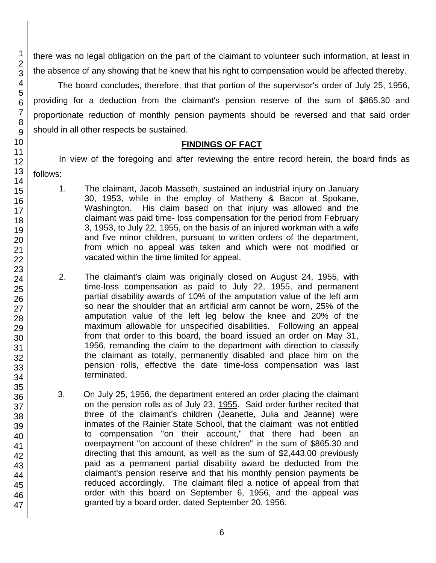there was no legal obligation on the part of the claimant to volunteer such information, at least in the absence of any showing that he knew that his right to compensation would be affected thereby.

The board concludes, therefore, that that portion of the supervisor's order of July 25, 1956, providing for a deduction from the claimant's pension reserve of the sum of \$865.30 and proportionate reduction of monthly pension payments should be reversed and that said order should in all other respects be sustained.

### **FINDINGS OF FACT**

In view of the foregoing and after reviewing the entire record herein, the board finds as follows:

- 1. The claimant, Jacob Masseth, sustained an industrial injury on January 30, 1953, while in the employ of Matheny & Bacon at Spokane, Washington. His claim based on that injury was allowed and the claimant was paid time- loss compensation for the period from February 3, 1953, to July 22, 1955, on the basis of an injured workman with a wife and five minor children, pursuant to written orders of the department, from which no appeal was taken and which were not modified or vacated within the time limited for appeal.
- 2. The claimant's claim was originally closed on August 24, 1955, with time-loss compensation as paid to July 22, 1955, and permanent partial disability awards of 10% of the amputation value of the left arm so near the shoulder that an artificial arm cannot be worn, 25% of the amputation value of the left leg below the knee and 20% of the maximum allowable for unspecified disabilities. Following an appeal from that order to this board, the board issued an order on May 31, 1956, remanding the claim to the department with direction to classify the claimant as totally, permanently disabled and place him on the pension rolls, effective the date time-loss compensation was last terminated.
- 3. On July 25, 1956, the department entered an order placing the claimant on the pension rolls as of July 23, 1955. Said order further recited that three of the claimant's children (Jeanette, Julia and Jeanne) were inmates of the Rainier State School, that the claimant was not entitled to compensation "on their account," that there had been an overpayment "on account of these children" in the sum of \$865.30 and directing that this amount, as well as the sum of \$2,443.00 previously paid as a permanent partial disability award be deducted from the claimant's pension reserve and that his monthly pension payments be reduced accordingly. The claimant filed a notice of appeal from that order with this board on September 6, 1956, and the appeal was granted by a board order, dated September 20, 1956.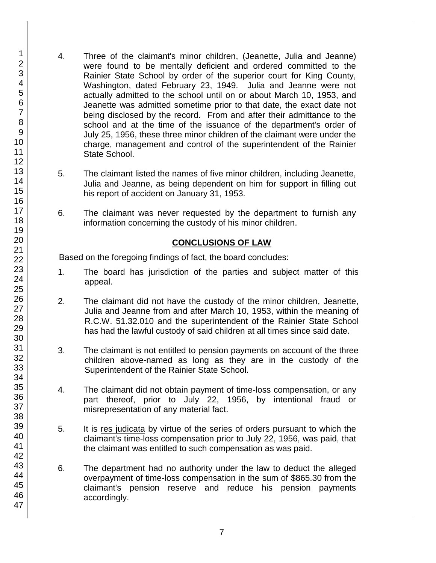- 4. Three of the claimant's minor children, (Jeanette, Julia and Jeanne) were found to be mentally deficient and ordered committed to the Rainier State School by order of the superior court for King County, Washington, dated February 23, 1949. Julia and Jeanne were not actually admitted to the school until on or about March 10, 1953, and Jeanette was admitted sometime prior to that date, the exact date not being disclosed by the record. From and after their admittance to the school and at the time of the issuance of the department's order of July 25, 1956, these three minor children of the claimant were under the charge, management and control of the superintendent of the Rainier State School.
- 5. The claimant listed the names of five minor children, including Jeanette, Julia and Jeanne, as being dependent on him for support in filling out his report of accident on January 31, 1953.
- 6. The claimant was never requested by the department to furnish any information concerning the custody of his minor children.

## **CONCLUSIONS OF LAW**

Based on the foregoing findings of fact, the board concludes:

- 1. The board has jurisdiction of the parties and subject matter of this appeal.
- 2. The claimant did not have the custody of the minor children, Jeanette, Julia and Jeanne from and after March 10, 1953, within the meaning of R.C.W. 51.32.010 and the superintendent of the Rainier State School has had the lawful custody of said children at all times since said date.
- 3. The claimant is not entitled to pension payments on account of the three children above-named as long as they are in the custody of the Superintendent of the Rainier State School.
- 4. The claimant did not obtain payment of time-loss compensation, or any part thereof, prior to July 22, 1956, by intentional fraud or misrepresentation of any material fact.
- 5. It is res judicata by virtue of the series of orders pursuant to which the claimant's time-loss compensation prior to July 22, 1956, was paid, that the claimant was entitled to such compensation as was paid.
- 6. The department had no authority under the law to deduct the alleged overpayment of time-loss compensation in the sum of \$865.30 from the claimant's pension reserve and reduce his pension payments accordingly.